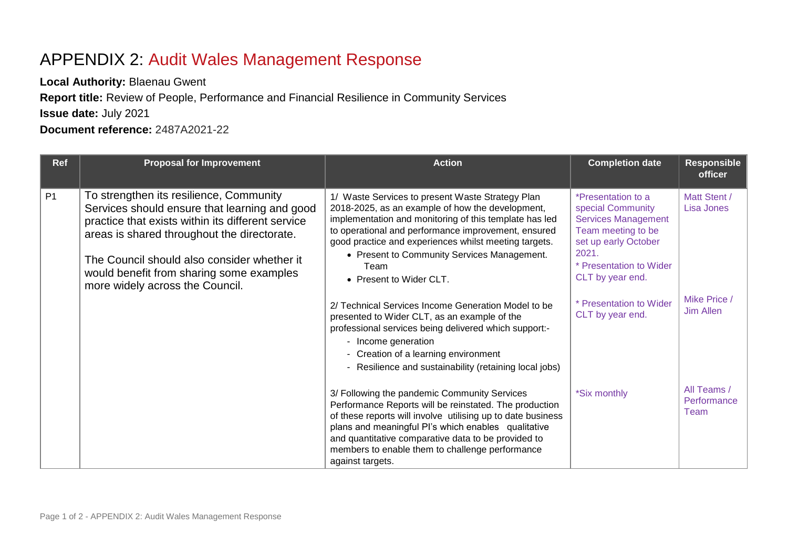## APPENDIX 2: Audit Wales Management Response

**Local Authority:** Blaenau Gwent

**Report title:** Review of People, Performance and Financial Resilience in Community Services

**Issue date:** July 2021

**Document reference:** 2487A2021-22

| <b>Ref</b>     | <b>Proposal for Improvement</b>                                                                                                                                                                                                                                                                                            | <b>Action</b>                                                                                                                                                                                                                                                                                                                                                    | <b>Completion date</b>                                                                                                                                                      | <b>Responsible</b><br><b>officer</b> |
|----------------|----------------------------------------------------------------------------------------------------------------------------------------------------------------------------------------------------------------------------------------------------------------------------------------------------------------------------|------------------------------------------------------------------------------------------------------------------------------------------------------------------------------------------------------------------------------------------------------------------------------------------------------------------------------------------------------------------|-----------------------------------------------------------------------------------------------------------------------------------------------------------------------------|--------------------------------------|
| P <sub>1</sub> | To strengthen its resilience, Community<br>Services should ensure that learning and good<br>practice that exists within its different service<br>areas is shared throughout the directorate.<br>The Council should also consider whether it<br>would benefit from sharing some examples<br>more widely across the Council. | 1/ Waste Services to present Waste Strategy Plan<br>2018-2025, as an example of how the development,<br>implementation and monitoring of this template has led<br>to operational and performance improvement, ensured<br>good practice and experiences whilst meeting targets.<br>• Present to Community Services Management.<br>Team<br>• Present to Wider CLT. | *Presentation to a<br>special Community<br><b>Services Management</b><br>Team meeting to be<br>set up early October<br>2021.<br>* Presentation to Wider<br>CLT by year end. | Matt Stent /<br>Lisa Jones           |
|                |                                                                                                                                                                                                                                                                                                                            | 2/ Technical Services Income Generation Model to be<br>presented to Wider CLT, as an example of the<br>professional services being delivered which support:-<br>- Income generation<br>- Creation of a learning environment<br>- Resilience and sustainability (retaining local jobs)                                                                            | * Presentation to Wider<br>CLT by year end.                                                                                                                                 | Mike Price /<br>Jim Allen            |
|                |                                                                                                                                                                                                                                                                                                                            | 3/ Following the pandemic Community Services<br>Performance Reports will be reinstated. The production<br>of these reports will involve utilising up to date business<br>plans and meaningful PI's which enables qualitative<br>and quantitative comparative data to be provided to<br>members to enable them to challenge performance<br>against targets.       | *Six monthly                                                                                                                                                                | All Teams /<br>Performance<br>Team   |